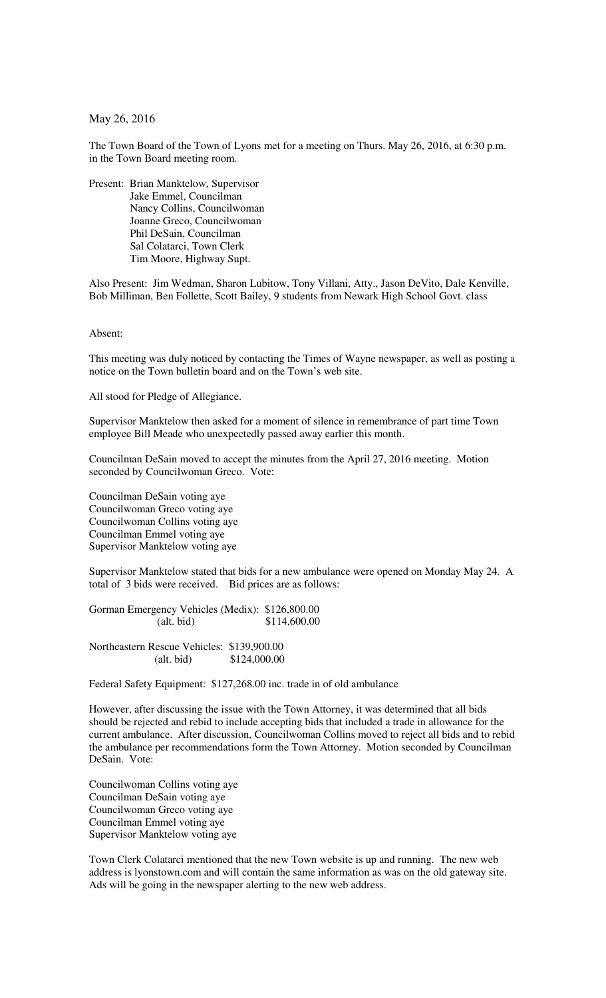May 26, 2016

The Town Board of the Town of Lyons met for a meeting on Thurs. May 26, 2016, at 6:30 p.m. in the Town Board meeting room.

Present: Brian Manktelow, Supervisor Jake Emmel, Councilman Nancy Collins, Councilwoman Joanne Greco, Councilwoman Phil DeSain, Councilman Sal Colatarci, Town Clerk Tim Moore, Highway Supt.

Also Present: Jim Wedman, Sharon Lubitow, Tony Villani, Atty., Jason DeVito, Dale Kenville, Bob Milliman, Ben Follette, Scott Bailey, 9 students from Newark High School Govt. class

Absent:

This meeting was duly noticed by contacting the Times of Wayne newspaper, as well as posting a notice on the Town bulletin board and on the Town's web site.

All stood for Pledge of Allegiance.

Supervisor Manktelow then asked for a moment of silence in remembrance of part time Town employee Bill Meade who unexpectedly passed away earlier this month.

Councilman DeSain moved to accept the minutes from the April 27, 2016 meeting. Motion seconded by Councilwoman Greco. Vote:

Councilman DeSain voting aye Councilwoman Greco voting aye Councilwoman Collins voting aye Councilman Emmel voting aye Supervisor Manktelow voting aye

Supervisor Manktelow stated that bids for a new ambulance were opened on Monday May 24. A total of 3 bids were received. Bid prices are as follows:

Gorman Emergency Vehicles (Medix): \$126,800.00 (alt. bid) \$114,600.00

Northeastern Rescue Vehicles: \$139,900.00 (alt. bid) \$124,000.00

Federal Safety Equipment: \$127,268.00 inc. trade in of old ambulance

However, after discussing the issue with the Town Attorney, it was determined that all bids should be rejected and rebid to include accepting bids that included a trade in allowance for the current ambulance. After discussion, Councilwoman Collins moved to reject all bids and to rebid the ambulance per recommendations form the Town Attorney. Motion seconded by Councilman DeSain. Vote:

Councilwoman Collins voting aye Councilman DeSain voting aye Councilwoman Greco voting aye Councilman Emmel voting aye Supervisor Manktelow voting aye

Town Clerk Colatarci mentioned that the new Town website is up and running. The new web address is lyonstown.com and will contain the same information as was on the old gateway site. Ads will be going in the newspaper alerting to the new web address.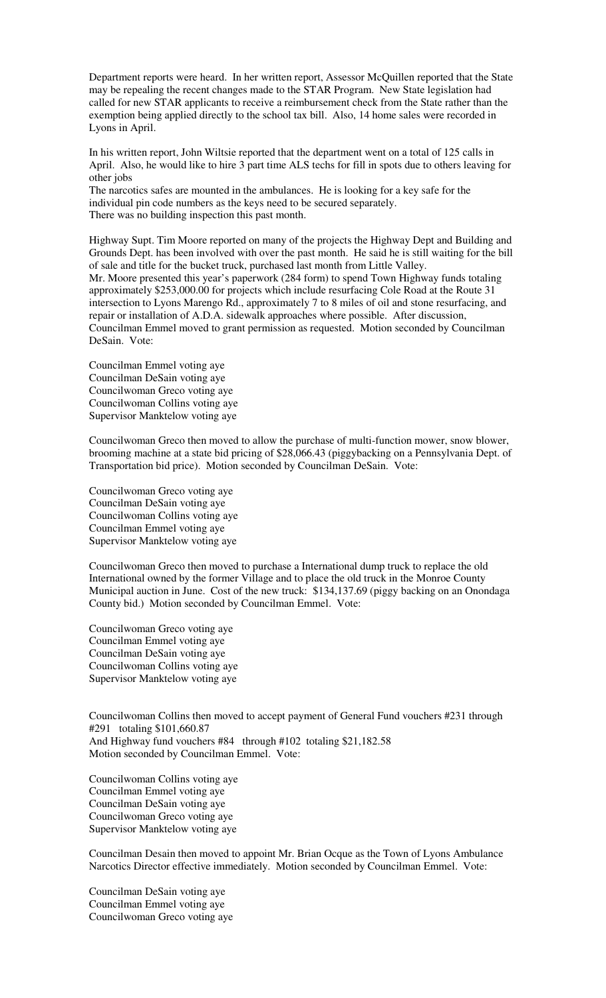Department reports were heard. In her written report, Assessor McQuillen reported that the State may be repealing the recent changes made to the STAR Program. New State legislation had called for new STAR applicants to receive a reimbursement check from the State rather than the exemption being applied directly to the school tax bill. Also, 14 home sales were recorded in Lyons in April.

In his written report, John Wiltsie reported that the department went on a total of 125 calls in April. Also, he would like to hire 3 part time ALS techs for fill in spots due to others leaving for other jobs

The narcotics safes are mounted in the ambulances. He is looking for a key safe for the individual pin code numbers as the keys need to be secured separately. There was no building inspection this past month.

Highway Supt. Tim Moore reported on many of the projects the Highway Dept and Building and Grounds Dept. has been involved with over the past month. He said he is still waiting for the bill of sale and title for the bucket truck, purchased last month from Little Valley.

Mr. Moore presented this year's paperwork (284 form) to spend Town Highway funds totaling approximately \$253,000.00 for projects which include resurfacing Cole Road at the Route 31 intersection to Lyons Marengo Rd., approximately 7 to 8 miles of oil and stone resurfacing, and repair or installation of A.D.A. sidewalk approaches where possible. After discussion, Councilman Emmel moved to grant permission as requested. Motion seconded by Councilman DeSain. Vote:

Councilman Emmel voting aye Councilman DeSain voting aye Councilwoman Greco voting aye Councilwoman Collins voting aye Supervisor Manktelow voting aye

Councilwoman Greco then moved to allow the purchase of multi-function mower, snow blower, brooming machine at a state bid pricing of \$28,066.43 (piggybacking on a Pennsylvania Dept. of Transportation bid price). Motion seconded by Councilman DeSain. Vote:

Councilwoman Greco voting aye Councilman DeSain voting aye Councilwoman Collins voting aye Councilman Emmel voting aye Supervisor Manktelow voting aye

Councilwoman Greco then moved to purchase a International dump truck to replace the old International owned by the former Village and to place the old truck in the Monroe County Municipal auction in June. Cost of the new truck: \$134,137.69 (piggy backing on an Onondaga County bid.) Motion seconded by Councilman Emmel. Vote:

Councilwoman Greco voting aye Councilman Emmel voting aye Councilman DeSain voting aye Councilwoman Collins voting aye Supervisor Manktelow voting aye

Councilwoman Collins then moved to accept payment of General Fund vouchers #231 through #291 totaling \$101,660.87 And Highway fund vouchers #84 through #102 totaling \$21,182.58 Motion seconded by Councilman Emmel. Vote:

Councilwoman Collins voting aye Councilman Emmel voting aye Councilman DeSain voting aye Councilwoman Greco voting aye Supervisor Manktelow voting aye

Councilman Desain then moved to appoint Mr. Brian Ocque as the Town of Lyons Ambulance Narcotics Director effective immediately. Motion seconded by Councilman Emmel. Vote:

Councilman DeSain voting aye Councilman Emmel voting aye Councilwoman Greco voting aye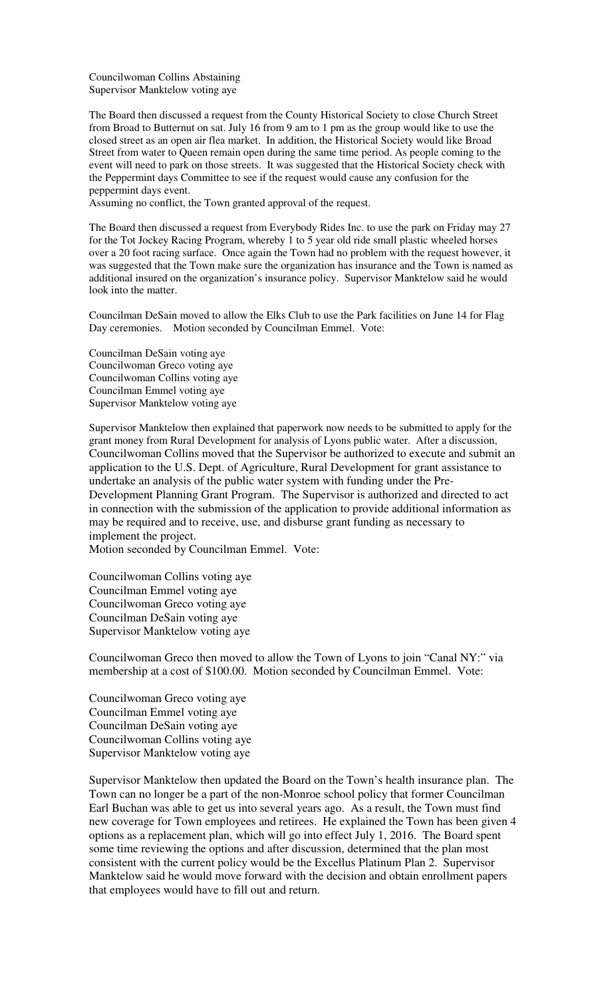Councilwoman Collins Abstaining Supervisor Manktelow voting aye

The Board then discussed a request from the County Historical Society to close Church Street from Broad to Butternut on sat. July 16 from 9 am to 1 pm as the group would like to use the closed street as an open air flea market. In addition, the Historical Society would like Broad Street from water to Queen remain open during the same time period. As people coming to the event will need to park on those streets. It was suggested that the Historical Society check with the Peppermint days Committee to see if the request would cause any confusion for the peppermint days event.

Assuming no conflict, the Town granted approval of the request.

The Board then discussed a request from Everybody Rides Inc. to use the park on Friday may 27 for the Tot Jockey Racing Program, whereby 1 to 5 year old ride small plastic wheeled horses over a 20 foot racing surface. Once again the Town had no problem with the request however, it was suggested that the Town make sure the organization has insurance and the Town is named as additional insured on the organization's insurance policy. Supervisor Manktelow said he would look into the matter.

Councilman DeSain moved to allow the Elks Club to use the Park facilities on June 14 for Flag Day ceremonies. Motion seconded by Councilman Emmel. Vote:

Councilman DeSain voting aye Councilwoman Greco voting aye Councilwoman Collins voting aye Councilman Emmel voting aye Supervisor Manktelow voting aye

Supervisor Manktelow then explained that paperwork now needs to be submitted to apply for the grant money from Rural Development for analysis of Lyons public water. After a discussion, Councilwoman Collins moved that the Supervisor be authorized to execute and submit an application to the U.S. Dept. of Agriculture, Rural Development for grant assistance to undertake an analysis of the public water system with funding under the Pre-Development Planning Grant Program. The Supervisor is authorized and directed to act in connection with the submission of the application to provide additional information as may be required and to receive, use, and disburse grant funding as necessary to implement the project.

Motion seconded by Councilman Emmel. Vote:

Councilwoman Collins voting aye Councilman Emmel voting aye Councilwoman Greco voting aye Councilman DeSain voting aye Supervisor Manktelow voting aye

Councilwoman Greco then moved to allow the Town of Lyons to join "Canal NY:" via membership at a cost of \$100.00. Motion seconded by Councilman Emmel. Vote:

Councilwoman Greco voting aye Councilman Emmel voting aye Councilman DeSain voting aye Councilwoman Collins voting aye Supervisor Manktelow voting aye

Supervisor Manktelow then updated the Board on the Town's health insurance plan. The Town can no longer be a part of the non-Monroe school policy that former Councilman Earl Buchan was able to get us into several years ago. As a result, the Town must find new coverage for Town employees and retirees. He explained the Town has been given 4 options as a replacement plan, which will go into effect July 1, 2016. The Board spent some time reviewing the options and after discussion, determined that the plan most consistent with the current policy would be the Excellus Platinum Plan 2. Supervisor Manktelow said he would move forward with the decision and obtain enrollment papers that employees would have to fill out and return.